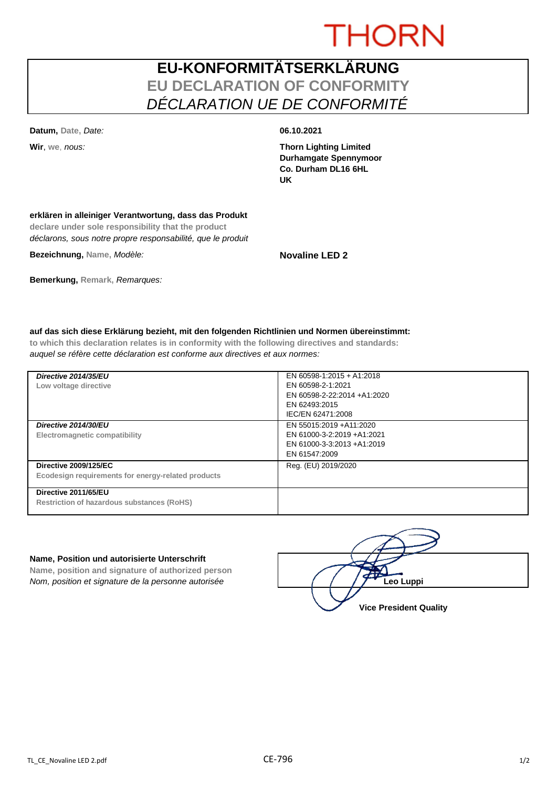# **THORN**

### **EU-KONFORMITÄTSERKLÄRUNG EU DECLARATION OF CONFORMITY** *DÉCLARATION UE DE CONFORMITÉ*

**Datum, Date,** *Date:* **06.10.2021**

**Wir**, **we**, *nous:* **Thorn Lighting Limited Durhamgate Spennymoor Co. Durham DL16 6HL UK**

#### **erklären in alleiniger Verantwortung, dass das Produkt**

**declare under sole responsibility that the product** *déclarons, sous notre propre responsabilité, que le produit*

**Bezeichnung, Name,** *Modèle:* **Novaline LED 2**

### **Bemerkung, Remark,** *Remarques:*

#### **auf das sich diese Erklärung bezieht, mit den folgenden Richtlinien und Normen übereinstimmt:**

**to which this declaration relates is in conformity with the following directives and standards:** *auquel se réfère cette déclaration est conforme aux directives et aux normes:*

| Directive 2014/35/EU<br>Low voltage directive                                      | EN 60598-1:2015 + A1:2018<br>EN 60598-2-1:2021<br>EN 60598-2-22:2014 +A1:2020<br>EN 62493:2015<br>IEC/EN 62471:2008 |
|------------------------------------------------------------------------------------|---------------------------------------------------------------------------------------------------------------------|
| Directive 2014/30/EU<br>Electromagnetic compatibility                              | EN 55015:2019 + A11:2020<br>EN 61000-3-2:2019 +A1:2021<br>EN 61000-3-3:2013 +A1:2019<br>EN 61547:2009               |
| <b>Directive 2009/125/EC</b><br>Ecodesign requirements for energy-related products | Reg. (EU) 2019/2020                                                                                                 |
| Directive 2011/65/EU<br><b>Restriction of hazardous substances (RoHS)</b>          |                                                                                                                     |

#### **Name, Position und autorisierte Unterschrift**

**Name, position and signature of authorized person** *Nom, position et signature de la personne autorisée* 

| Leo Luppi                     |  |
|-------------------------------|--|
| <b>Vice President Quality</b> |  |